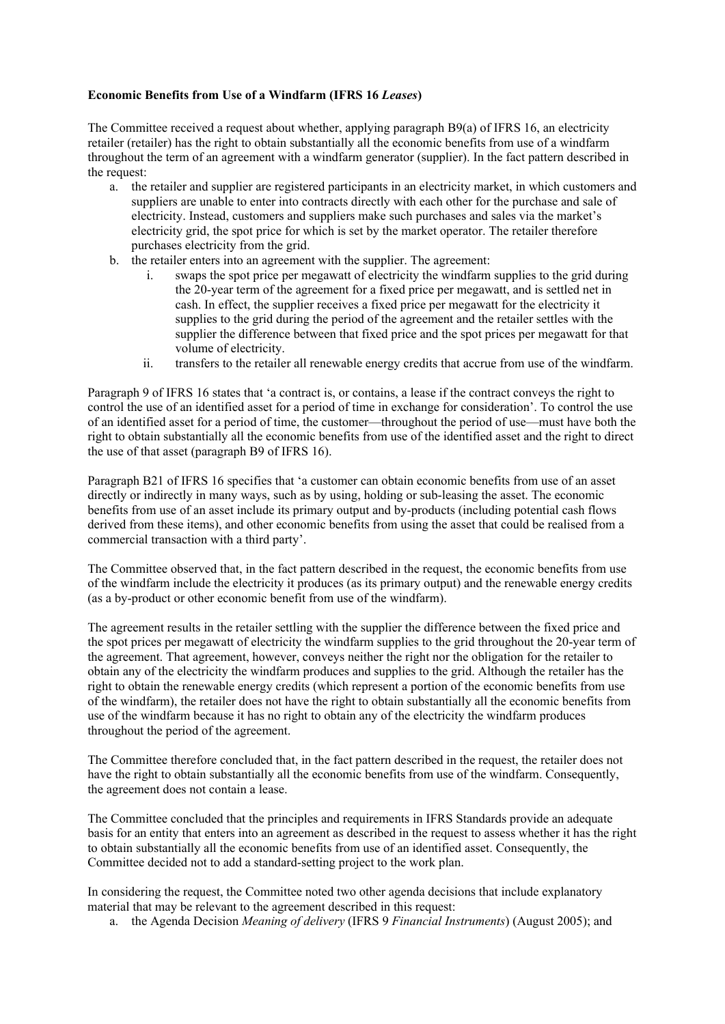## **Economic Benefits from Use of a Windfarm (IFRS 16** *Leases***)**

The Committee received a request about whether, applying paragraph B9(a) of IFRS 16, an electricity retailer (retailer) has the right to obtain substantially all the economic benefits from use of a windfarm throughout the term of an agreement with a windfarm generator (supplier). In the fact pattern described in the request:

- a. the retailer and supplier are registered participants in an electricity market, in which customers and suppliers are unable to enter into contracts directly with each other for the purchase and sale of electricity. Instead, customers and suppliers make such purchases and sales via the market's electricity grid, the spot price for which is set by the market operator. The retailer therefore purchases electricity from the grid.
- b. the retailer enters into an agreement with the supplier. The agreement:
	- i. swaps the spot price per megawatt of electricity the windfarm supplies to the grid during the 20-year term of the agreement for a fixed price per megawatt, and is settled net in cash. In effect, the supplier receives a fixed price per megawatt for the electricity it supplies to the grid during the period of the agreement and the retailer settles with the supplier the difference between that fixed price and the spot prices per megawatt for that volume of electricity.
	- ii. transfers to the retailer all renewable energy credits that accrue from use of the windfarm.

Paragraph 9 of IFRS 16 states that 'a contract is, or contains, a lease if the contract conveys the right to control the use of an identified asset for a period of time in exchange for consideration'. To control the use of an identified asset for a period of time, the customer—throughout the period of use—must have both the right to obtain substantially all the economic benefits from use of the identified asset and the right to direct the use of that asset (paragraph B9 of IFRS 16).

Paragraph B21 of IFRS 16 specifies that 'a customer can obtain economic benefits from use of an asset directly or indirectly in many ways, such as by using, holding or sub-leasing the asset. The economic benefits from use of an asset include its primary output and by-products (including potential cash flows derived from these items), and other economic benefits from using the asset that could be realised from a commercial transaction with a third party'.

The Committee observed that, in the fact pattern described in the request, the economic benefits from use of the windfarm include the electricity it produces (as its primary output) and the renewable energy credits (as a by-product or other economic benefit from use of the windfarm).

The agreement results in the retailer settling with the supplier the difference between the fixed price and the spot prices per megawatt of electricity the windfarm supplies to the grid throughout the 20-year term of the agreement. That agreement, however, conveys neither the right nor the obligation for the retailer to obtain any of the electricity the windfarm produces and supplies to the grid. Although the retailer has the right to obtain the renewable energy credits (which represent a portion of the economic benefits from use of the windfarm), the retailer does not have the right to obtain substantially all the economic benefits from use of the windfarm because it has no right to obtain any of the electricity the windfarm produces throughout the period of the agreement.

The Committee therefore concluded that, in the fact pattern described in the request, the retailer does not have the right to obtain substantially all the economic benefits from use of the windfarm. Consequently, the agreement does not contain a lease.

The Committee concluded that the principles and requirements in IFRS Standards provide an adequate basis for an entity that enters into an agreement as described in the request to assess whether it has the right to obtain substantially all the economic benefits from use of an identified asset. Consequently, the Committee decided not to add a standard-setting project to the work plan.

In considering the request, the Committee noted two other agenda decisions that include explanatory material that may be relevant to the agreement described in this request:

a. the Agenda Decision *Meaning of delivery* (IFRS 9 *Financial Instruments*) (August 2005); and